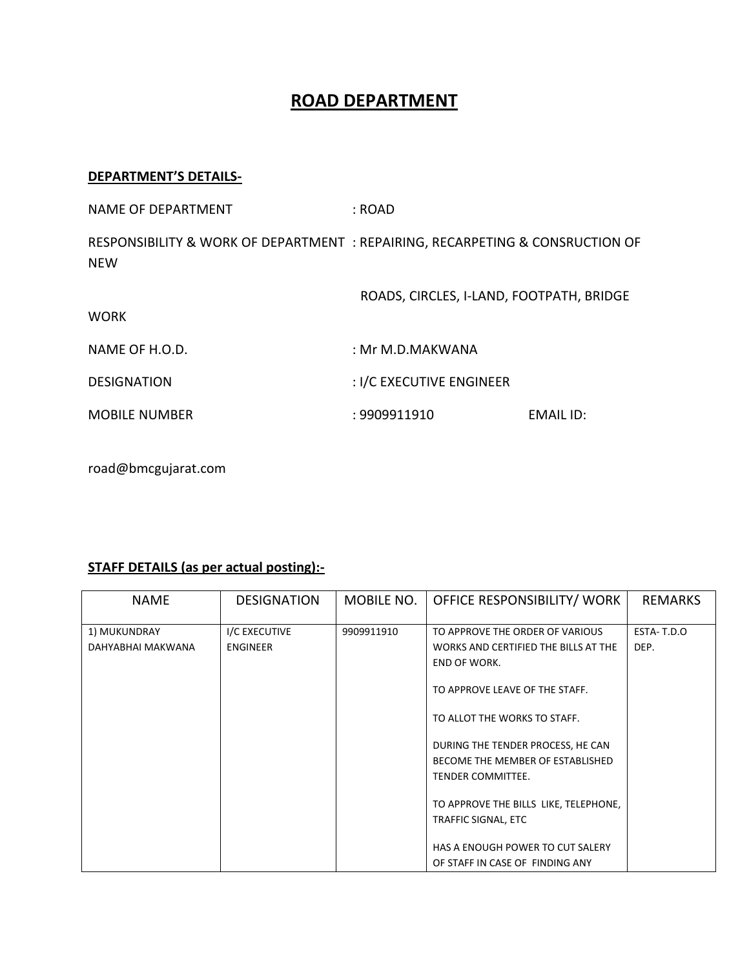## **ROAD DEPARTMENT**

## **DEPARTMENT'S DETAILS-**

| <b>NAME OF DEPARTMENT</b>                                                                   | : ROAD                                   |           |
|---------------------------------------------------------------------------------------------|------------------------------------------|-----------|
| RESPONSIBILITY & WORK OF DEPARTMENT : REPAIRING, RECARPETING & CONSRUCTION OF<br><b>NEW</b> |                                          |           |
| <b>WORK</b>                                                                                 | ROADS, CIRCLES, I-LAND, FOOTPATH, BRIDGE |           |
| NAME OF H.O.D.                                                                              | : Mr M.D.MAKWANA                         |           |
| <b>DESIGNATION</b>                                                                          | : I/C EXECUTIVE ENGINEER                 |           |
| <b>MOBILE NUMBER</b>                                                                        | : 9909911910                             | EMAIL ID: |

road@bmcgujarat.com

## **STAFF DETAILS (as per actual posting):-**

| <b>NAME</b>       | <b>DESIGNATION</b> | MOBILE NO. | OFFICE RESPONSIBILITY/ WORK           | <b>REMARKS</b> |
|-------------------|--------------------|------------|---------------------------------------|----------------|
| 1) MUKUNDRAY      | I/C EXECUTIVE      | 9909911910 | TO APPROVE THE ORDER OF VARIOUS       | ESTA-T.D.O     |
| DAHYABHAI MAKWANA | <b>ENGINEER</b>    |            | WORKS AND CERTIFIED THE BILLS AT THE  | DEP.           |
|                   |                    |            | <b>END OF WORK.</b>                   |                |
|                   |                    |            | TO APPROVE LEAVE OF THE STAFF.        |                |
|                   |                    |            | TO ALLOT THE WORKS TO STAFF.          |                |
|                   |                    |            | DURING THE TENDER PROCESS, HE CAN     |                |
|                   |                    |            | BECOME THE MEMBER OF ESTABLISHED      |                |
|                   |                    |            | TENDER COMMITTEE.                     |                |
|                   |                    |            | TO APPROVE THE BILLS LIKE, TELEPHONE, |                |
|                   |                    |            | TRAFFIC SIGNAL, ETC                   |                |
|                   |                    |            |                                       |                |
|                   |                    |            | HAS A ENOUGH POWER TO CUT SALERY      |                |
|                   |                    |            | OF STAFF IN CASE OF FINDING ANY       |                |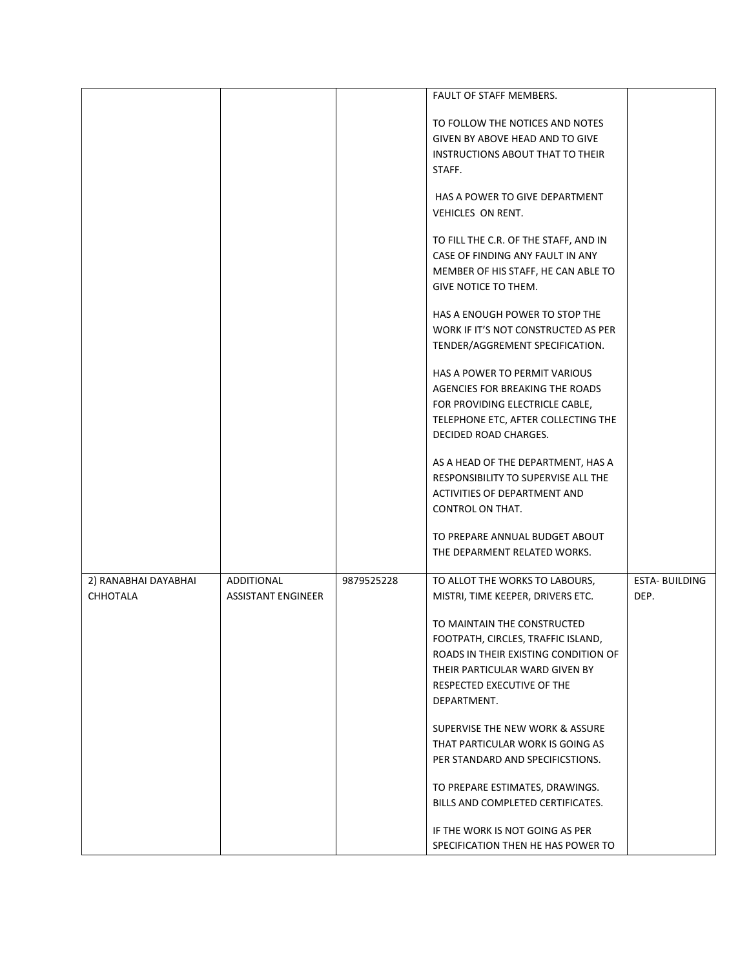|                      |                           |            | FAULT OF STAFF MEMBERS.               |                      |
|----------------------|---------------------------|------------|---------------------------------------|----------------------|
|                      |                           |            |                                       |                      |
|                      |                           |            | TO FOLLOW THE NOTICES AND NOTES       |                      |
|                      |                           |            | GIVEN BY ABOVE HEAD AND TO GIVE       |                      |
|                      |                           |            | INSTRUCTIONS ABOUT THAT TO THEIR      |                      |
|                      |                           |            | STAFF.                                |                      |
|                      |                           |            |                                       |                      |
|                      |                           |            | HAS A POWER TO GIVE DEPARTMENT        |                      |
|                      |                           |            | VEHICLES ON RENT.                     |                      |
|                      |                           |            |                                       |                      |
|                      |                           |            | TO FILL THE C.R. OF THE STAFF, AND IN |                      |
|                      |                           |            | CASE OF FINDING ANY FAULT IN ANY      |                      |
|                      |                           |            | MEMBER OF HIS STAFF, HE CAN ABLE TO   |                      |
|                      |                           |            | GIVE NOTICE TO THEM.                  |                      |
|                      |                           |            |                                       |                      |
|                      |                           |            | HAS A ENOUGH POWER TO STOP THE        |                      |
|                      |                           |            | WORK IF IT'S NOT CONSTRUCTED AS PER   |                      |
|                      |                           |            | TENDER/AGGREMENT SPECIFICATION.       |                      |
|                      |                           |            |                                       |                      |
|                      |                           |            | HAS A POWER TO PERMIT VARIOUS         |                      |
|                      |                           |            | AGENCIES FOR BREAKING THE ROADS       |                      |
|                      |                           |            | FOR PROVIDING ELECTRICLE CABLE,       |                      |
|                      |                           |            | TELEPHONE ETC, AFTER COLLECTING THE   |                      |
|                      |                           |            | DECIDED ROAD CHARGES.                 |                      |
|                      |                           |            | AS A HEAD OF THE DEPARTMENT, HAS A    |                      |
|                      |                           |            | RESPONSIBILITY TO SUPERVISE ALL THE   |                      |
|                      |                           |            | ACTIVITIES OF DEPARTMENT AND          |                      |
|                      |                           |            | CONTROL ON THAT.                      |                      |
|                      |                           |            |                                       |                      |
|                      |                           |            | TO PREPARE ANNUAL BUDGET ABOUT        |                      |
|                      |                           |            | THE DEPARMENT RELATED WORKS.          |                      |
|                      |                           |            |                                       |                      |
| 2) RANABHAI DAYABHAI | ADDITIONAL                | 9879525228 | TO ALLOT THE WORKS TO LABOURS,        | <b>ESTA-BUILDING</b> |
| <b>CHHOTALA</b>      | <b>ASSISTANT ENGINEER</b> |            | MISTRI, TIME KEEPER, DRIVERS ETC.     | DEP.                 |
|                      |                           |            | TO MAINTAIN THE CONSTRUCTED           |                      |
|                      |                           |            | FOOTPATH, CIRCLES, TRAFFIC ISLAND,    |                      |
|                      |                           |            | ROADS IN THEIR EXISTING CONDITION OF  |                      |
|                      |                           |            | THEIR PARTICULAR WARD GIVEN BY        |                      |
|                      |                           |            | RESPECTED EXECUTIVE OF THE            |                      |
|                      |                           |            | DEPARTMENT.                           |                      |
|                      |                           |            |                                       |                      |
|                      |                           |            | SUPERVISE THE NEW WORK & ASSURE       |                      |
|                      |                           |            | THAT PARTICULAR WORK IS GOING AS      |                      |
|                      |                           |            | PER STANDARD AND SPECIFICSTIONS.      |                      |
|                      |                           |            |                                       |                      |
|                      |                           |            | TO PREPARE ESTIMATES, DRAWINGS.       |                      |
|                      |                           |            | BILLS AND COMPLETED CERTIFICATES.     |                      |
|                      |                           |            | IF THE WORK IS NOT GOING AS PER       |                      |
|                      |                           |            | SPECIFICATION THEN HE HAS POWER TO    |                      |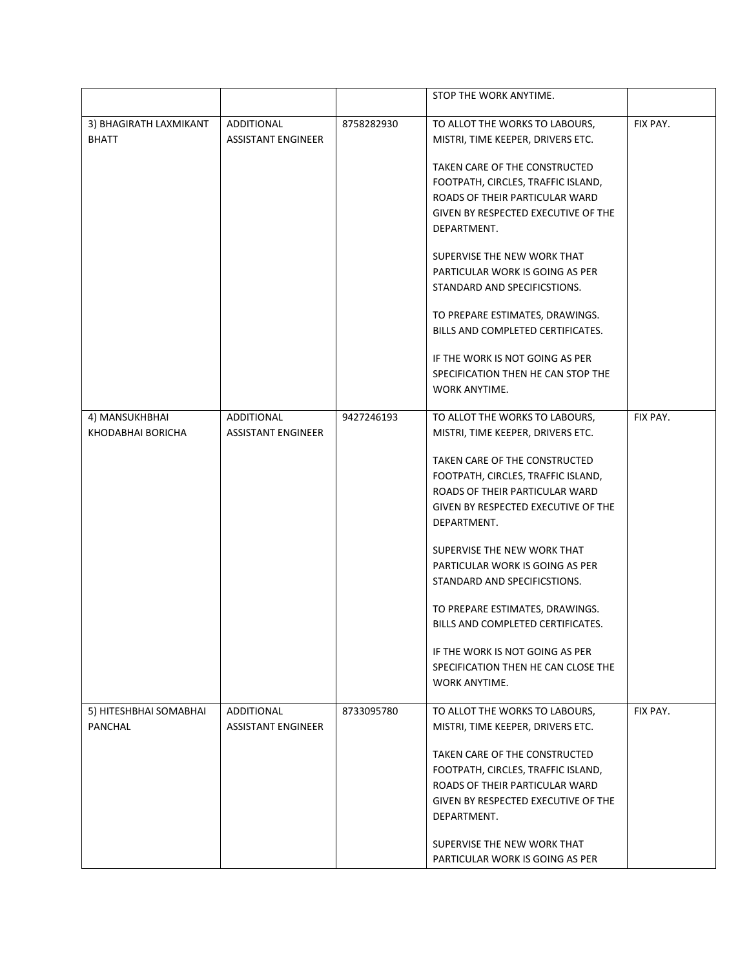|                                        |                                         |            | STOP THE WORK ANYTIME.                                                 |          |
|----------------------------------------|-----------------------------------------|------------|------------------------------------------------------------------------|----------|
| 3) BHAGIRATH LAXMIKANT<br><b>BHATT</b> | ADDITIONAL<br><b>ASSISTANT ENGINEER</b> | 8758282930 | TO ALLOT THE WORKS TO LABOURS,<br>MISTRI, TIME KEEPER, DRIVERS ETC.    | FIX PAY. |
|                                        |                                         |            | TAKEN CARE OF THE CONSTRUCTED                                          |          |
|                                        |                                         |            | FOOTPATH, CIRCLES, TRAFFIC ISLAND,                                     |          |
|                                        |                                         |            | ROADS OF THEIR PARTICULAR WARD<br>GIVEN BY RESPECTED EXECUTIVE OF THE  |          |
|                                        |                                         |            | DEPARTMENT.                                                            |          |
|                                        |                                         |            |                                                                        |          |
|                                        |                                         |            | SUPERVISE THE NEW WORK THAT                                            |          |
|                                        |                                         |            | PARTICULAR WORK IS GOING AS PER                                        |          |
|                                        |                                         |            | STANDARD AND SPECIFICSTIONS.                                           |          |
|                                        |                                         |            | TO PREPARE ESTIMATES, DRAWINGS.                                        |          |
|                                        |                                         |            | BILLS AND COMPLETED CERTIFICATES.                                      |          |
|                                        |                                         |            | IF THE WORK IS NOT GOING AS PER                                        |          |
|                                        |                                         |            | SPECIFICATION THEN HE CAN STOP THE                                     |          |
|                                        |                                         |            | WORK ANYTIME.                                                          |          |
|                                        |                                         |            |                                                                        |          |
| 4) MANSUKHBHAI<br>KHODABHAI BORICHA    | ADDITIONAL<br><b>ASSISTANT ENGINEER</b> | 9427246193 | TO ALLOT THE WORKS TO LABOURS,<br>MISTRI, TIME KEEPER, DRIVERS ETC.    | FIX PAY. |
|                                        |                                         |            |                                                                        |          |
|                                        |                                         |            | TAKEN CARE OF THE CONSTRUCTED                                          |          |
|                                        |                                         |            | FOOTPATH, CIRCLES, TRAFFIC ISLAND,                                     |          |
|                                        |                                         |            | ROADS OF THEIR PARTICULAR WARD                                         |          |
|                                        |                                         |            | GIVEN BY RESPECTED EXECUTIVE OF THE                                    |          |
|                                        |                                         |            | DEPARTMENT.                                                            |          |
|                                        |                                         |            | SUPERVISE THE NEW WORK THAT                                            |          |
|                                        |                                         |            | PARTICULAR WORK IS GOING AS PER                                        |          |
|                                        |                                         |            | STANDARD AND SPECIFICSTIONS.                                           |          |
|                                        |                                         |            | TO PREPARE ESTIMATES, DRAWINGS.                                        |          |
|                                        |                                         |            | BILLS AND COMPLETED CERTIFICATES.                                      |          |
|                                        |                                         |            |                                                                        |          |
|                                        |                                         |            | IF THE WORK IS NOT GOING AS PER<br>SPECIFICATION THEN HE CAN CLOSE THE |          |
|                                        |                                         |            | WORK ANYTIME.                                                          |          |
|                                        |                                         |            |                                                                        |          |
| 5) HITESHBHAI SOMABHAI                 | ADDITIONAL                              | 8733095780 | TO ALLOT THE WORKS TO LABOURS,                                         | FIX PAY. |
| PANCHAL                                | <b>ASSISTANT ENGINEER</b>               |            | MISTRI, TIME KEEPER, DRIVERS ETC.                                      |          |
|                                        |                                         |            | TAKEN CARE OF THE CONSTRUCTED                                          |          |
|                                        |                                         |            | FOOTPATH, CIRCLES, TRAFFIC ISLAND,                                     |          |
|                                        |                                         |            | ROADS OF THEIR PARTICULAR WARD                                         |          |
|                                        |                                         |            | GIVEN BY RESPECTED EXECUTIVE OF THE                                    |          |
|                                        |                                         |            | DEPARTMENT.                                                            |          |
|                                        |                                         |            | SUPERVISE THE NEW WORK THAT                                            |          |
|                                        |                                         |            | PARTICULAR WORK IS GOING AS PER                                        |          |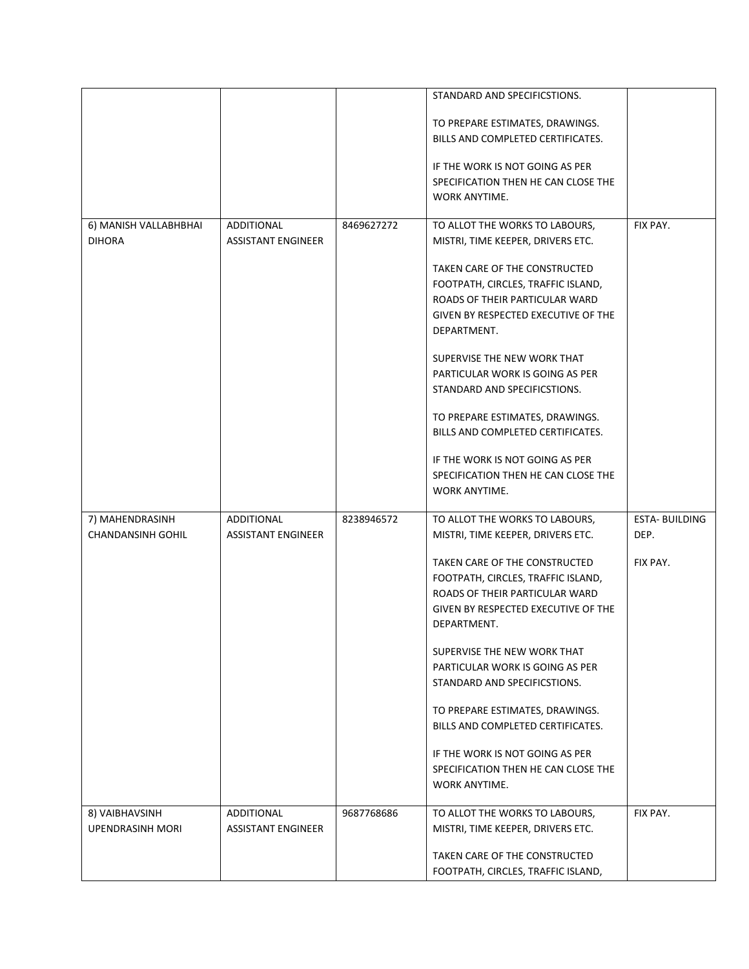|                          |                           |            | STANDARD AND SPECIFICSTIONS.        |                       |
|--------------------------|---------------------------|------------|-------------------------------------|-----------------------|
|                          |                           |            |                                     |                       |
|                          |                           |            | TO PREPARE ESTIMATES, DRAWINGS.     |                       |
|                          |                           |            | BILLS AND COMPLETED CERTIFICATES.   |                       |
|                          |                           |            | IF THE WORK IS NOT GOING AS PER     |                       |
|                          |                           |            | SPECIFICATION THEN HE CAN CLOSE THE |                       |
|                          |                           |            | WORK ANYTIME.                       |                       |
| 6) MANISH VALLABHBHAI    | ADDITIONAL                | 8469627272 | TO ALLOT THE WORKS TO LABOURS,      | FIX PAY.              |
| <b>DIHORA</b>            | <b>ASSISTANT ENGINEER</b> |            | MISTRI, TIME KEEPER, DRIVERS ETC.   |                       |
|                          |                           |            | TAKEN CARE OF THE CONSTRUCTED       |                       |
|                          |                           |            | FOOTPATH, CIRCLES, TRAFFIC ISLAND,  |                       |
|                          |                           |            | ROADS OF THEIR PARTICULAR WARD      |                       |
|                          |                           |            | GIVEN BY RESPECTED EXECUTIVE OF THE |                       |
|                          |                           |            | DEPARTMENT.                         |                       |
|                          |                           |            | SUPERVISE THE NEW WORK THAT         |                       |
|                          |                           |            | PARTICULAR WORK IS GOING AS PER     |                       |
|                          |                           |            | STANDARD AND SPECIFICSTIONS.        |                       |
|                          |                           |            | TO PREPARE ESTIMATES, DRAWINGS.     |                       |
|                          |                           |            | BILLS AND COMPLETED CERTIFICATES.   |                       |
|                          |                           |            | IF THE WORK IS NOT GOING AS PER     |                       |
|                          |                           |            | SPECIFICATION THEN HE CAN CLOSE THE |                       |
|                          |                           |            | <b>WORK ANYTIME.</b>                |                       |
| 7) MAHENDRASINH          | ADDITIONAL                | 8238946572 | TO ALLOT THE WORKS TO LABOURS,      | <b>ESTA- BUILDING</b> |
| <b>CHANDANSINH GOHIL</b> | <b>ASSISTANT ENGINEER</b> |            | MISTRI, TIME KEEPER, DRIVERS ETC.   | DEP.                  |
|                          |                           |            | TAKEN CARE OF THE CONSTRUCTED       | FIX PAY.              |
|                          |                           |            | FOOTPATH, CIRCLES, TRAFFIC ISLAND,  |                       |
|                          |                           |            | ROADS OF THEIR PARTICULAR WARD      |                       |
|                          |                           |            | GIVEN BY RESPECTED EXECUTIVE OF THE |                       |
|                          |                           |            | DEPARTMENT.                         |                       |
|                          |                           |            | SUPERVISE THE NEW WORK THAT         |                       |
|                          |                           |            | PARTICULAR WORK IS GOING AS PER     |                       |
|                          |                           |            | STANDARD AND SPECIFICSTIONS.        |                       |
|                          |                           |            | TO PREPARE ESTIMATES, DRAWINGS.     |                       |
|                          |                           |            | BILLS AND COMPLETED CERTIFICATES.   |                       |
|                          |                           |            | IF THE WORK IS NOT GOING AS PER     |                       |
|                          |                           |            | SPECIFICATION THEN HE CAN CLOSE THE |                       |
|                          |                           |            | WORK ANYTIME.                       |                       |
| 8) VAIBHAVSINH           | ADDITIONAL                | 9687768686 | TO ALLOT THE WORKS TO LABOURS,      | FIX PAY.              |
| <b>UPENDRASINH MORI</b>  | <b>ASSISTANT ENGINEER</b> |            | MISTRI, TIME KEEPER, DRIVERS ETC.   |                       |
|                          |                           |            | TAKEN CARE OF THE CONSTRUCTED       |                       |
|                          |                           |            | FOOTPATH, CIRCLES, TRAFFIC ISLAND,  |                       |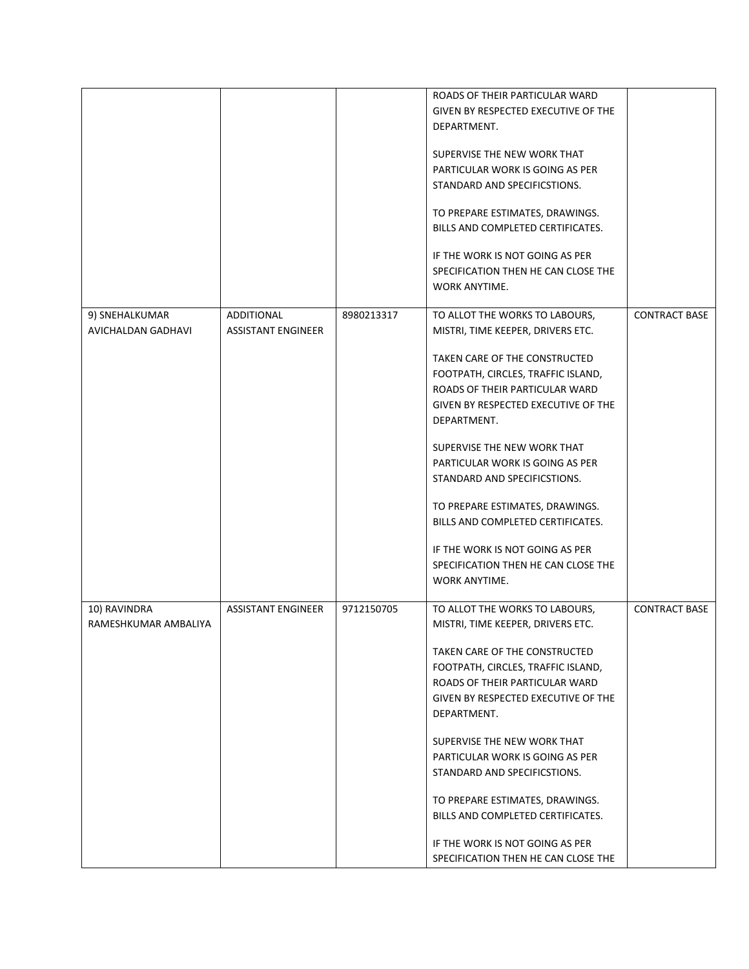|                                      |                                         |            | ROADS OF THEIR PARTICULAR WARD<br>GIVEN BY RESPECTED EXECUTIVE OF THE<br>DEPARTMENT.                                                                        |                      |
|--------------------------------------|-----------------------------------------|------------|-------------------------------------------------------------------------------------------------------------------------------------------------------------|----------------------|
|                                      |                                         |            | SUPERVISE THE NEW WORK THAT<br>PARTICULAR WORK IS GOING AS PER<br>STANDARD AND SPECIFICSTIONS.                                                              |                      |
|                                      |                                         |            | TO PREPARE ESTIMATES, DRAWINGS.<br>BILLS AND COMPLETED CERTIFICATES.                                                                                        |                      |
|                                      |                                         |            | IF THE WORK IS NOT GOING AS PER<br>SPECIFICATION THEN HE CAN CLOSE THE<br>WORK ANYTIME.                                                                     |                      |
| 9) SNEHALKUMAR<br>AVICHALDAN GADHAVI | ADDITIONAL<br><b>ASSISTANT ENGINEER</b> | 8980213317 | TO ALLOT THE WORKS TO LABOURS,<br>MISTRI, TIME KEEPER, DRIVERS ETC.                                                                                         | <b>CONTRACT BASE</b> |
|                                      |                                         |            | TAKEN CARE OF THE CONSTRUCTED<br>FOOTPATH, CIRCLES, TRAFFIC ISLAND,<br>ROADS OF THEIR PARTICULAR WARD<br>GIVEN BY RESPECTED EXECUTIVE OF THE<br>DEPARTMENT. |                      |
|                                      |                                         |            | SUPERVISE THE NEW WORK THAT<br>PARTICULAR WORK IS GOING AS PER<br>STANDARD AND SPECIFICSTIONS.                                                              |                      |
|                                      |                                         |            | TO PREPARE ESTIMATES, DRAWINGS.<br>BILLS AND COMPLETED CERTIFICATES.                                                                                        |                      |
|                                      |                                         |            | IF THE WORK IS NOT GOING AS PER<br>SPECIFICATION THEN HE CAN CLOSE THE<br>WORK ANYTIME.                                                                     |                      |
| 10) RAVINDRA<br>RAMESHKUMAR AMBALIYA | <b>ASSISTANT ENGINEER</b>               | 9712150705 | TO ALLOT THE WORKS TO LABOURS,<br>MISTRI, TIME KEEPER, DRIVERS ETC.                                                                                         | <b>CONTRACT BASE</b> |
|                                      |                                         |            | TAKEN CARE OF THE CONSTRUCTED<br>FOOTPATH, CIRCLES, TRAFFIC ISLAND,<br>ROADS OF THEIR PARTICULAR WARD<br>GIVEN BY RESPECTED EXECUTIVE OF THE<br>DEPARTMENT. |                      |
|                                      |                                         |            | SUPERVISE THE NEW WORK THAT<br>PARTICULAR WORK IS GOING AS PER<br>STANDARD AND SPECIFICSTIONS.                                                              |                      |
|                                      |                                         |            | TO PREPARE ESTIMATES, DRAWINGS.<br>BILLS AND COMPLETED CERTIFICATES.                                                                                        |                      |
|                                      |                                         |            | IF THE WORK IS NOT GOING AS PER<br>SPECIFICATION THEN HE CAN CLOSE THE                                                                                      |                      |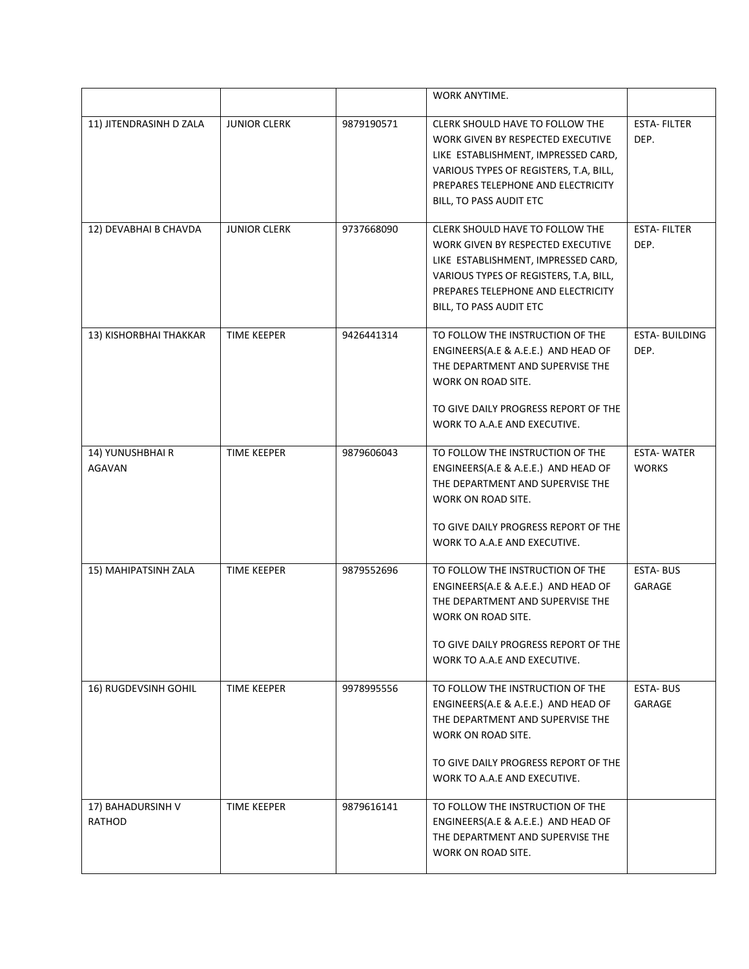|                             |                     |            | WORK ANYTIME.                                                                                                                                                                                                          |                                   |
|-----------------------------|---------------------|------------|------------------------------------------------------------------------------------------------------------------------------------------------------------------------------------------------------------------------|-----------------------------------|
| 11) JITENDRASINH D ZALA     | <b>JUNIOR CLERK</b> | 9879190571 | CLERK SHOULD HAVE TO FOLLOW THE<br>WORK GIVEN BY RESPECTED EXECUTIVE<br>LIKE ESTABLISHMENT, IMPRESSED CARD,<br>VARIOUS TYPES OF REGISTERS, T.A, BILL,<br>PREPARES TELEPHONE AND ELECTRICITY<br>BILL, TO PASS AUDIT ETC | <b>ESTA-FILTER</b><br>DEP.        |
| 12) DEVABHAI B CHAVDA       | <b>JUNIOR CLERK</b> | 9737668090 | CLERK SHOULD HAVE TO FOLLOW THE<br>WORK GIVEN BY RESPECTED EXECUTIVE<br>LIKE ESTABLISHMENT, IMPRESSED CARD,<br>VARIOUS TYPES OF REGISTERS, T.A, BILL,<br>PREPARES TELEPHONE AND ELECTRICITY<br>BILL, TO PASS AUDIT ETC | <b>ESTA-FILTER</b><br>DEP.        |
| 13) KISHORBHAI THAKKAR      | <b>TIME KEEPER</b>  | 9426441314 | TO FOLLOW THE INSTRUCTION OF THE<br>ENGINEERS(A.E & A.E.E.) AND HEAD OF<br>THE DEPARTMENT AND SUPERVISE THE<br>WORK ON ROAD SITE.<br>TO GIVE DAILY PROGRESS REPORT OF THE<br>WORK TO A.A.E AND EXECUTIVE.              | <b>ESTA- BUILDING</b><br>DEP.     |
| 14) YUNUSHBHAI R<br>AGAVAN  | <b>TIME KEEPER</b>  | 9879606043 | TO FOLLOW THE INSTRUCTION OF THE<br>ENGINEERS(A.E & A.E.E.) AND HEAD OF<br>THE DEPARTMENT AND SUPERVISE THE<br>WORK ON ROAD SITE.<br>TO GIVE DAILY PROGRESS REPORT OF THE<br>WORK TO A.A.E AND EXECUTIVE.              | <b>ESTA-WATER</b><br><b>WORKS</b> |
| 15) MAHIPATSINH ZALA        | TIME KEEPER         | 9879552696 | TO FOLLOW THE INSTRUCTION OF THE<br>ENGINEERS(A.E & A.E.E.) AND HEAD OF<br>THE DEPARTMENT AND SUPERVISE THE<br>WORK ON ROAD SITE.<br>TO GIVE DAILY PROGRESS REPORT OF THE<br>WORK TO A.A.E AND EXECUTIVE.              | <b>ESTA-BUS</b><br>GARAGE         |
| 16) RUGDEVSINH GOHIL        | <b>TIME KEEPER</b>  | 9978995556 | TO FOLLOW THE INSTRUCTION OF THE<br>ENGINEERS(A.E & A.E.E.) AND HEAD OF<br>THE DEPARTMENT AND SUPERVISE THE<br>WORK ON ROAD SITE.<br>TO GIVE DAILY PROGRESS REPORT OF THE<br>WORK TO A.A.E AND EXECUTIVE.              | <b>ESTA-BUS</b><br>GARAGE         |
| 17) BAHADURSINH V<br>RATHOD | TIME KEEPER         | 9879616141 | TO FOLLOW THE INSTRUCTION OF THE<br>ENGINEERS(A.E & A.E.E.) AND HEAD OF<br>THE DEPARTMENT AND SUPERVISE THE<br>WORK ON ROAD SITE.                                                                                      |                                   |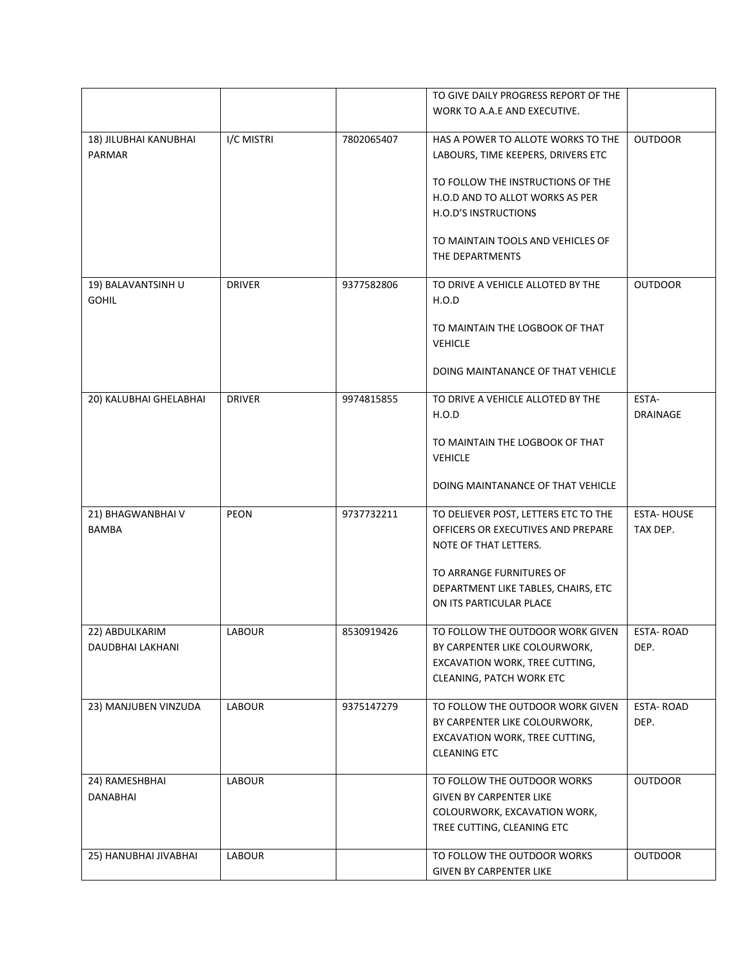|                        |               |            | TO GIVE DAILY PROGRESS REPORT OF THE |                   |
|------------------------|---------------|------------|--------------------------------------|-------------------|
|                        |               |            | WORK TO A.A.E AND EXECUTIVE.         |                   |
|                        |               |            |                                      |                   |
| 18) JILUBHAI KANUBHAI  | I/C MISTRI    | 7802065407 | HAS A POWER TO ALLOTE WORKS TO THE   | <b>OUTDOOR</b>    |
| PARMAR                 |               |            | LABOURS, TIME KEEPERS, DRIVERS ETC   |                   |
|                        |               |            | TO FOLLOW THE INSTRUCTIONS OF THE    |                   |
|                        |               |            | H.O.D AND TO ALLOT WORKS AS PER      |                   |
|                        |               |            | H.O.D'S INSTRUCTIONS                 |                   |
|                        |               |            | TO MAINTAIN TOOLS AND VEHICLES OF    |                   |
|                        |               |            | THE DEPARTMENTS                      |                   |
|                        |               |            |                                      |                   |
| 19) BALAVANTSINH U     | <b>DRIVER</b> | 9377582806 | TO DRIVE A VEHICLE ALLOTED BY THE    | <b>OUTDOOR</b>    |
| <b>GOHIL</b>           |               |            | H.O.D                                |                   |
|                        |               |            |                                      |                   |
|                        |               |            | TO MAINTAIN THE LOGBOOK OF THAT      |                   |
|                        |               |            | <b>VEHICLE</b>                       |                   |
|                        |               |            | DOING MAINTANANCE OF THAT VEHICLE    |                   |
|                        |               |            |                                      |                   |
| 20) KALUBHAI GHELABHAI | <b>DRIVER</b> | 9974815855 | TO DRIVE A VEHICLE ALLOTED BY THE    | ESTA-             |
|                        |               |            | H.O.D                                | <b>DRAINAGE</b>   |
|                        |               |            |                                      |                   |
|                        |               |            | TO MAINTAIN THE LOGBOOK OF THAT      |                   |
|                        |               |            | <b>VEHICLE</b>                       |                   |
|                        |               |            | DOING MAINTANANCE OF THAT VEHICLE    |                   |
|                        |               |            |                                      |                   |
| 21) BHAGWANBHAI V      | PEON          | 9737732211 | TO DELIEVER POST, LETTERS ETC TO THE | <b>ESTA-HOUSE</b> |
| <b>BAMBA</b>           |               |            | OFFICERS OR EXECUTIVES AND PREPARE   | TAX DEP.          |
|                        |               |            | NOTE OF THAT LETTERS.                |                   |
|                        |               |            | TO ARRANGE FURNITURES OF             |                   |
|                        |               |            | DEPARTMENT LIKE TABLES, CHAIRS, ETC  |                   |
|                        |               |            | ON ITS PARTICULAR PLACE              |                   |
|                        |               |            |                                      |                   |
| 22) ABDULKARIM         | LABOUR        | 8530919426 | TO FOLLOW THE OUTDOOR WORK GIVEN     | <b>ESTA-ROAD</b>  |
| DAUDBHAI LAKHANI       |               |            | BY CARPENTER LIKE COLOURWORK,        | DEP.              |
|                        |               |            | EXCAVATION WORK, TREE CUTTING,       |                   |
|                        |               |            | CLEANING, PATCH WORK ETC             |                   |
|                        |               |            | TO FOLLOW THE OUTDOOR WORK GIVEN     | <b>ESTA-ROAD</b>  |
| 23) MANJUBEN VINZUDA   | LABOUR        | 9375147279 | BY CARPENTER LIKE COLOURWORK,        | DEP.              |
|                        |               |            | EXCAVATION WORK, TREE CUTTING,       |                   |
|                        |               |            | <b>CLEANING ETC</b>                  |                   |
|                        |               |            |                                      |                   |
| 24) RAMESHBHAI         | <b>LABOUR</b> |            | TO FOLLOW THE OUTDOOR WORKS          | <b>OUTDOOR</b>    |
| <b>DANABHAI</b>        |               |            | <b>GIVEN BY CARPENTER LIKE</b>       |                   |
|                        |               |            | COLOURWORK, EXCAVATION WORK,         |                   |
|                        |               |            | TREE CUTTING, CLEANING ETC           |                   |
|                        |               |            |                                      |                   |
| 25) HANUBHAI JIVABHAI  | <b>LABOUR</b> |            | TO FOLLOW THE OUTDOOR WORKS          | <b>OUTDOOR</b>    |
|                        |               |            | <b>GIVEN BY CARPENTER LIKE</b>       |                   |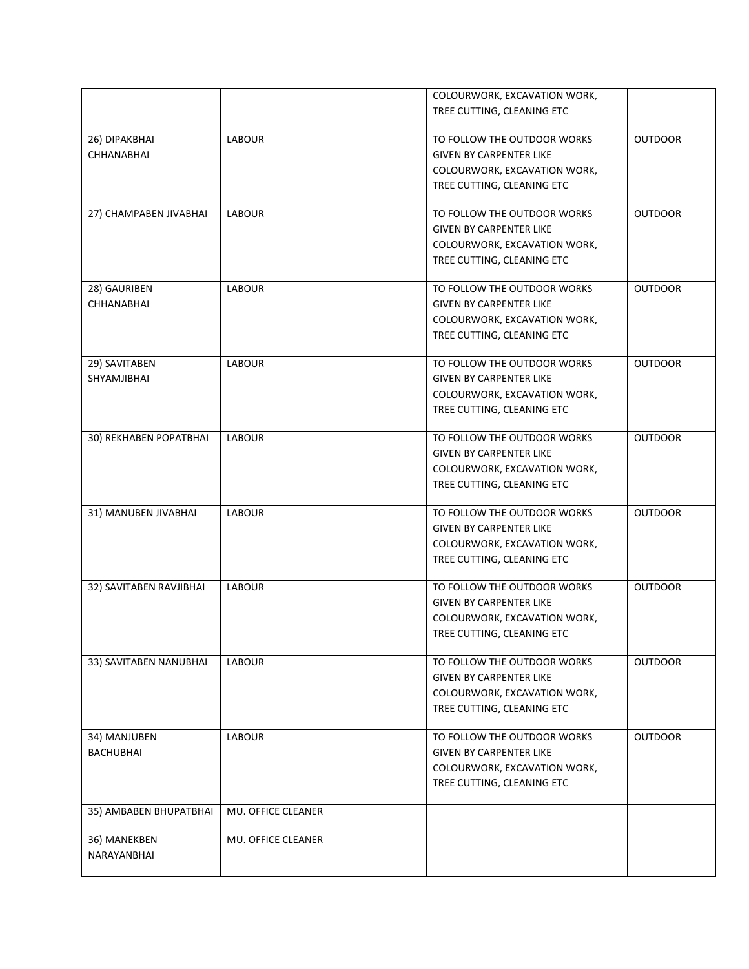|                         |                    | COLOURWORK, EXCAVATION WORK,   |                |
|-------------------------|--------------------|--------------------------------|----------------|
|                         |                    | TREE CUTTING, CLEANING ETC     |                |
|                         |                    |                                |                |
| 26) DIPAKBHAI           | <b>LABOUR</b>      | TO FOLLOW THE OUTDOOR WORKS    | <b>OUTDOOR</b> |
| CHHANABHAI              |                    | <b>GIVEN BY CARPENTER LIKE</b> |                |
|                         |                    | COLOURWORK, EXCAVATION WORK,   |                |
|                         |                    | TREE CUTTING, CLEANING ETC     |                |
| 27) CHAMPABEN JIVABHAI  | <b>LABOUR</b>      | TO FOLLOW THE OUTDOOR WORKS    | <b>OUTDOOR</b> |
|                         |                    | <b>GIVEN BY CARPENTER LIKE</b> |                |
|                         |                    | COLOURWORK, EXCAVATION WORK,   |                |
|                         |                    | TREE CUTTING, CLEANING ETC     |                |
|                         |                    |                                |                |
| 28) GAURIBEN            | <b>LABOUR</b>      | TO FOLLOW THE OUTDOOR WORKS    | <b>OUTDOOR</b> |
| <b>CHHANABHAI</b>       |                    | <b>GIVEN BY CARPENTER LIKE</b> |                |
|                         |                    | COLOURWORK, EXCAVATION WORK,   |                |
|                         |                    | TREE CUTTING, CLEANING ETC     |                |
| 29) SAVITABEN           | <b>LABOUR</b>      | TO FOLLOW THE OUTDOOR WORKS    | <b>OUTDOOR</b> |
| SHYAMJIBHAI             |                    | <b>GIVEN BY CARPENTER LIKE</b> |                |
|                         |                    | COLOURWORK, EXCAVATION WORK,   |                |
|                         |                    | TREE CUTTING, CLEANING ETC     |                |
| 30) REKHABEN POPATBHAI  | <b>LABOUR</b>      | TO FOLLOW THE OUTDOOR WORKS    | <b>OUTDOOR</b> |
|                         |                    | <b>GIVEN BY CARPENTER LIKE</b> |                |
|                         |                    | COLOURWORK, EXCAVATION WORK,   |                |
|                         |                    | TREE CUTTING, CLEANING ETC     |                |
|                         |                    |                                |                |
| 31) MANUBEN JIVABHAI    | <b>LABOUR</b>      | TO FOLLOW THE OUTDOOR WORKS    | <b>OUTDOOR</b> |
|                         |                    | <b>GIVEN BY CARPENTER LIKE</b> |                |
|                         |                    | COLOURWORK, EXCAVATION WORK,   |                |
|                         |                    | TREE CUTTING, CLEANING ETC     |                |
| 32) SAVITABEN RAVJIBHAI | <b>LABOUR</b>      | TO FOLLOW THE OUTDOOR WORKS    | <b>OUTDOOR</b> |
|                         |                    | <b>GIVEN BY CARPENTER LIKE</b> |                |
|                         |                    | COLOURWORK, EXCAVATION WORK,   |                |
|                         |                    | TREE CUTTING, CLEANING ETC     |                |
|                         |                    |                                |                |
| 33) SAVITABEN NANUBHAI  | <b>LABOUR</b>      | TO FOLLOW THE OUTDOOR WORKS    | <b>OUTDOOR</b> |
|                         |                    | <b>GIVEN BY CARPENTER LIKE</b> |                |
|                         |                    | COLOURWORK, EXCAVATION WORK,   |                |
|                         |                    | TREE CUTTING, CLEANING ETC     |                |
| 34) MANJUBEN            | <b>LABOUR</b>      | TO FOLLOW THE OUTDOOR WORKS    | <b>OUTDOOR</b> |
| <b>BACHUBHAI</b>        |                    | <b>GIVEN BY CARPENTER LIKE</b> |                |
|                         |                    | COLOURWORK, EXCAVATION WORK,   |                |
|                         |                    | TREE CUTTING, CLEANING ETC     |                |
| 35) AMBABEN BHUPATBHAI  | MU. OFFICE CLEANER |                                |                |
|                         |                    |                                |                |
| 36) MANEKBEN            | MU. OFFICE CLEANER |                                |                |
| NARAYANBHAI             |                    |                                |                |
|                         |                    |                                |                |